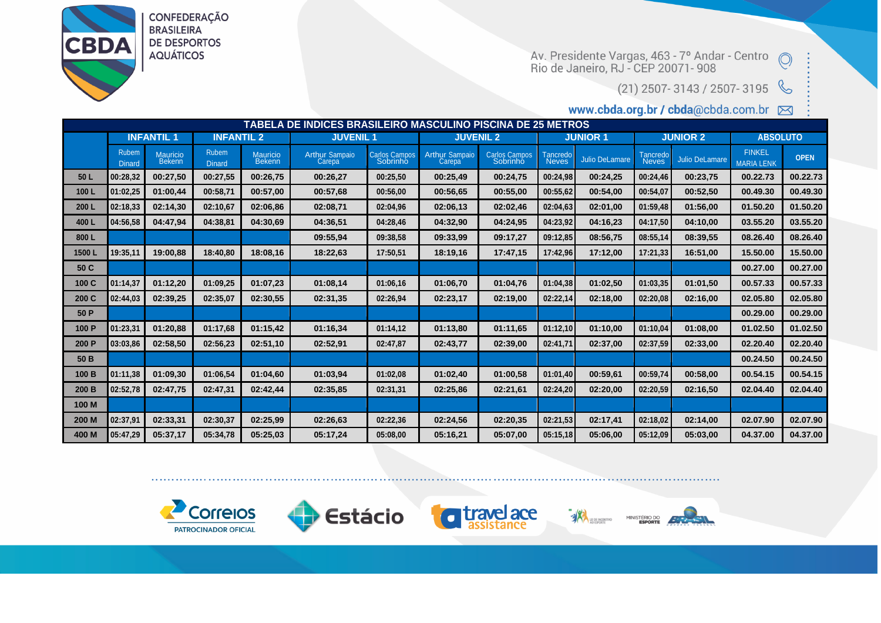

**CONFEDERAÇÃO BRASILEIRA DE DESPORTOS AQUÁTICOS** 

Av. Presidente Vargas, 463 - 7º Andar - Centro (O)<br>Rio de Janeiro, RJ - CEP 20071- 908

 $(21)$  2507-3143 / 2507-3195

www.cbda.org.br / cbda@cbda.com.br ⊠

| TABELA DE INDICES BRASILEIRO MASCULINO PISCINA DE 25 METROS |                        |                    |                               |                    |                                              |                           |                                 |                           |                   |                       |                   |                |                                    |             |
|-------------------------------------------------------------|------------------------|--------------------|-------------------------------|--------------------|----------------------------------------------|---------------------------|---------------------------------|---------------------------|-------------------|-----------------------|-------------------|----------------|------------------------------------|-------------|
|                                                             | <b>INFANTIL 1</b>      |                    | <b>INFANTIL 2</b>             |                    | <b>JUVENIL1</b>                              |                           | <b>JUVENIL 2</b>                |                           | <b>JUNIOR 1</b>   |                       | <b>JUNIOR 2</b>   |                | <b>ABSOLUTO</b>                    |             |
|                                                             | Rubem<br><b>Dinard</b> | Mauricio<br>Bekenn | <b>Rubem</b><br><b>Dinard</b> | Mauricio<br>Bekenn | <b>Arthur Sampaio</b><br>Carepa <sub>r</sub> | Carlos Campos<br>Sobrinho | <b>Arthur Sampaio</b><br>Carepa | Carlos Campos<br>Sobrinho | Tancredo<br>Neves | <b>Julio DeLamare</b> | Tancredo<br>Neves | Julio DeLamare | <b>FINKEL</b><br><b>MARIA LENK</b> | <b>OPEN</b> |
| 50 L                                                        | 00:28.32               | 00:27,50           | 00:27,55                      | 00:26.75           | 00:26,27                                     | 00:25,50                  | 00:25,49                        | 00:24,75                  | 00:24,98          | 00:24,25              | 00:24,46          | 00:23,75       | 00.22.73                           | 00.22.73    |
| 100L                                                        | 01:02.25               | 01:00,44           | 00:58,71                      | 00:57.00           | 00:57,68                                     | 00:56,00                  | 00:56.65                        | 00:55,00                  | 00:55.62          | 00:54,00              | 00:54,07          | 00:52,50       | 00.49.30                           | 00.49.30    |
| 200L                                                        | 02:18,33               | 02:14,30           | 02:10.67                      | 02:06,86           | 02:08,71                                     | 02:04.96                  | 02:06,13                        | 02:02.46                  | 02:04.63          | 02:01.00              | 01:59,48          | 01:56,00       | 01.50.20                           | 01.50.20    |
| 400L                                                        | 04:56.58               | 04:47.94           | 04:38,81                      | 04:30.69           | 04:36.51                                     | 04:28,46                  | 04:32,90                        | 04:24.95                  | 04:23,92          | 04:16,23              | 04:17,50          | 04:10,00       | 03.55.20                           | 03.55.20    |
| 800L                                                        |                        |                    |                               |                    | 09:55,94                                     | 09:38,58                  | 09:33,99                        | 09:17,27                  | 09:12,85          | 08:56,75              | 08:55,14          | 08:39.55       | 08.26.40                           | 08.26.40    |
| 1500L                                                       | 19:35,11               | 19:00.88           | 18:40,80                      | 18:08,16           | 18:22.63                                     | 17:50.51                  | 18:19,16                        | 17:47.15                  | 17:42,96          | 17:12,00              | 17:21,33          | 16:51,00       | 15.50.00                           | 15.50.00    |
| 50 C                                                        |                        |                    |                               |                    |                                              |                           |                                 |                           |                   |                       |                   |                | 00.27.00                           | 00.27.00    |
| 100 C                                                       | 01:14,37               | 01:12,20           | 01:09.25                      | 01:07,23           | 01:08,14                                     | 01:06.16                  | 01:06.70                        | 01:04.76                  | 01:04.38          | 01:02,50              | 01:03,35          | 01:01.50       | 00.57.33                           | 00.57.33    |
| 200 C                                                       | 02:44.03               | 02:39,25           | 02:35.07                      | 02:30,55           | 02:31,35                                     | 02:26,94                  | 02:23,17                        | 02:19,00                  | 02:22,14          | 02:18,00              | 02:20,08          | 02:16,00       | 02.05.80                           | 02.05.80    |
| 50 P                                                        |                        |                    |                               |                    |                                              |                           |                                 |                           |                   |                       |                   |                | 00.29.00                           | 00.29.00    |
| 100 P                                                       | 01:23,31               | 01:20,88           | 01:17.68                      | 01:15,42           | 01:16,34                                     | 01:14,12                  | 01:13,80                        | 01:11.65                  | 01:12,10          | 01:10,00              | 01:10,04          | 01:08,00       | 01.02.50                           | 01.02.50    |
| 200 P                                                       | 03:03.86               | 02:58.50           | 02:56,23                      | 02:51.10           | 02:52,91                                     | 02:47.87                  | 02:43.77                        | 02:39,00                  | 02:41,71          | 02:37,00              | 02:37,59          | 02:33,00       | 02.20.40                           | 02.20.40    |
| 50 B                                                        |                        |                    |                               |                    |                                              |                           |                                 |                           |                   |                       |                   |                | 00.24.50                           | 00.24.50    |
| 100 B                                                       | 01:11.38               | 01:09.30           | 01:06.54                      | 01:04.60           | 01:03,94                                     | 01:02.08                  | 01:02,40                        | 01:00.58                  | 01:01.40          | 00:59,61              | 00:59.74          | 00:58.00       | 00.54.15                           | 00.54.15    |
| 200 B                                                       | 02:52.78               | 02:47,75           | 02:47,31                      | 02:42,44           | 02:35,85                                     | 02:31,31                  | 02:25,86                        | 02:21,61                  | 02:24,20          | 02:20,00              | 02:20,59          | 02:16,50       | 02.04.40                           | 02.04.40    |
| 100 M                                                       |                        |                    |                               |                    |                                              |                           |                                 |                           |                   |                       |                   |                |                                    |             |
| 200 M                                                       | 02:37,91               | 02:33,31           | 02:30,37                      | 02:25.99           | 02:26,63                                     | 02:22,36                  | 02:24.56                        | 02:20.35                  | 02:21.53          | 02:17,41              | 02:18.02          | 02:14.00       | 02.07.90                           | 02.07.90    |
| 400 M                                                       | 05:47.29               | 05:37,17           | 05:34.78                      | 05:25,03           | 05:17,24                                     | 05:08,00                  | 05:16.21                        | 05:07,00                  | 05:15,18          | 05:06.00              | 05:12.09          | 05:03.00       | 04.37.00                           | 04.37.00    |









**EXPERIENCIATIVO**